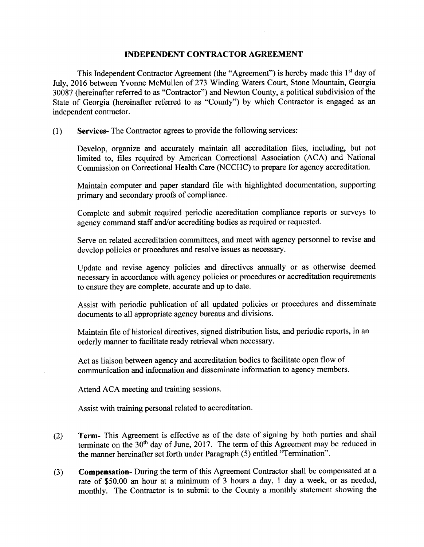## INDEPENDENT CONTRACTOR AGREEMENT

This Independent Contractor Agreement (the "Agreement") is hereby made this 1<sup>st</sup> day of July, 2016 between Yvonne McMullen of 273 Winding Waters Court, Stone Mountain, Georgia 30087 ( hereinafter referred to as " Contractor") and Newton County, a political subdivision of the State of Georgia (hereinafter referred to as "County") by which Contractor is engaged as an independent contractor.

1) Services- The Contractor agrees to provide the following services:

Develop, organize and accurately maintain all accreditation files, including, but not limited to, files required by American Correctional Association ( ACA) and National Commission on Correctional Health Care (NCCHC) to prepare for agency accreditation.

Maintain computer and paper standard file with highlighted documentation, supporting primary and secondary proofs of compliance.

Complete and submit required periodic accreditation compliance reports or surveys to agency command staff and/or accrediting bodies as required or requested.

Serve on related accreditation committees, and meet with agency personnel to revise and develop policies or procedures and resolve issues as necessary.

Update and revise agency policies and directives annually or as otherwise deemed necessary in accordance with agency policies or procedures or accreditation requirements to ensure they are complete, accurate and up to date.

Assist with periodic publication of all updated policies or procedures and disseminate documents to all appropriate agency bureaus and divisions.

Maintain file of historical directives, signed distribution lists, and periodic reports, in an orderly manner to facilitate ready retrieval when necessary.

Act as liaison between agency and accreditation bodies to facilitate open flow of communication and information and disseminate information to agency members.

Attend ACA meeting and training sessions.

Assist with training personal related to accreditation.

- 2) Term- This Agreement is effective as of the date of signing by both parties and shall terminate on the  $30<sup>th</sup>$  day of June, 2017. The term of this Agreement may be reduced in the manner hereinafter set forth under Paragraph (5) entitled "Termination".
- 3) Compensation- During the term of this Agreement Contractor shall be compensated at a rate of \$50.00 an hour at a minimum of 3 hours a day, 1 day a week, or as needed, monthly. The Contractor is to submit to the County <sup>a</sup> monthly statement showing the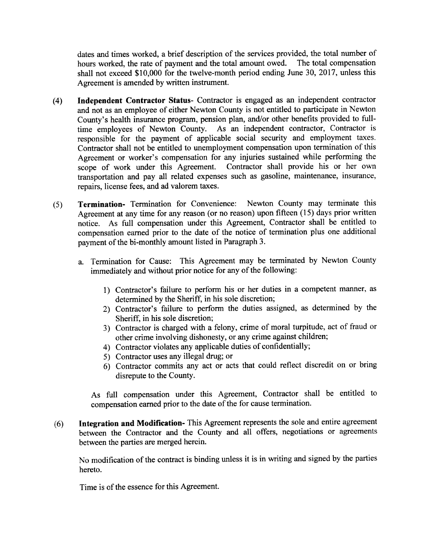dates and times worked, a brief description of the services provided, the total number of hours worked, the rate of payment and the total amount owed. The total compensation shall not exceed \$10,000 for the twelve-month period ending June 30, 2017, unless this Agreement is amended by written instrument.

- 4) Independent Contractor Status- Contractor is engaged as an independent contractor and not as an employee of either Newton County is not entitled to participate in Newton County's health insurance program, pension plan, and/or other benefits provided to fulltime employees of Newton County. As an independent contractor, Contractor is responsible for the payment of applicable social security and employment taxes. Contractor shall not be entitled to unemployment compensation upon termination of this Agreement or worker's compensation for any injuries sustained while performing the scope of work under this Agreement. Contractor shall provide his or her own transportation and pay all related expenses such as gasoline, maintenance, insurance, repairs, license fees, and ad valorem taxes.
- 5) Termination- Termination for Convenience: Newton County may terminate this Agreement at any time for any reason (or no reason) upon fifteen (15) days prior written notice. As full compensation under this Agreement, Contractor shall be entitled to compensation earned prior to the date of the notice of termination plus one additional payment of the bi-monthly amount listed in Paragraph 3.
	- a. Termination for Cause: This Agreement may be terminated by Newton County immediately and without prior notice for any of the following:
		- 1) Contractor's failure to perform his or her duties in a competent manner, as determined by the Sheriff, in his sole discretion;
		- 2) Contractor's failure to perform the duties assigned, as determined by the Sheriff, in his sole discretion;
		- 3) Contractor is charged with <sup>a</sup> felony, crime of moral turpitude, act of fraud or other crime involving dishonesty, or any crime against children;
		- 4) Contractor violates any applicable duties of confidentially;
		- 5) Contractor uses any illegal drug; or
		- 6) Contractor commits any act or acts that could reflect discredit on or bring disrepute to the County.

As full compensation under this Agreement, Contractor shall be entitled to compensation earned prior to the date of the for cause termination.

6) Integration and Modification- This Agreement represents the sole and entire agreement between the Contractor and the County and all offers, negotiations or agreements between the parties are merged herein.

No modification of the contract is binding unless it is in writing and signed by the parties hereto.

Time is of the essence for this Agreement.